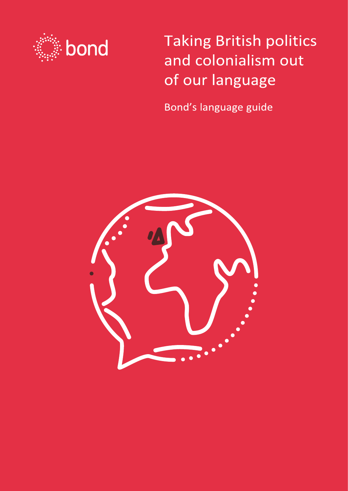

**Taking British politics** and colonialism out of our language

Bond's language guide

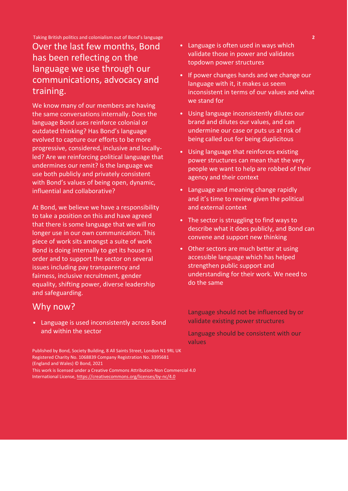Taking British politics and colonialism out of Bond's language **2**

### Over the last few months, Bond has been reflecting on the language we use through our communications, advocacy and training.

We know many of our members are having the same conversations internally. Does the language Bond uses reinforce colonial or outdated thinking? Has Bond's language evolved to capture our efforts to be more progressive, considered, inclusive and locallyled? Are we reinforcing political language that undermines our remit? Is the language we use both publicly and privately consistent with Bond's values of being open, dynamic, influential and collaborative?

At Bond, we believe we have a responsibility to take a position on this and have agreed that there is some language that we will no longer use in our own communication. This piece of work sits amongst a suite of work Bond is doing internally to get its house in order and to support the sector on several issues including pay transparency and fairness, inclusive recruitment, gender equality, shifting power, diverse leadership and safeguarding.

### Why now?

• Language is used inconsistently across Bond and within the sector

Published by Bond, Society Building, 8 All Saints Street, London N1 9RL UK Registered Charity No. 1068839 Company Registration No. 3395681 (England and Wales) © Bond, 2021 This work is licensed under a Creative Commons Attribution-Non Commercial 4.0

International License, https://creativecommons.org/licenses/by-nc/4.0

- Language is often used in ways which validate those in power and validates topdown power structures
- If power changes hands and we change our language with it, it makes us seem inconsistent in terms of our values and what we stand for
- Using language inconsistently dilutes our brand and dilutes our values, and can undermine our case or puts us at risk of being called out for being duplicitous
- Using language that reinforces existing power structures can mean that the very people we want to help are robbed of their agency and their context
- Language and meaning change rapidly and it's time to review given the political and external context
- The sector is struggling to find ways to describe what it does publicly, and Bond can convene and support new thinking
- Other sectors are much better at using accessible language which has helped strengthen public support and understanding for their work. We need to do the same

• Language should not be influenced by or validate existing power structures

• Language should be consistent with our values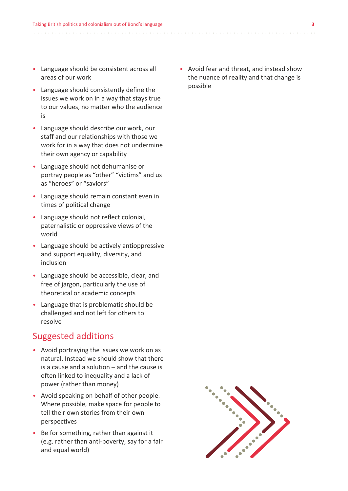- Language should be consistent across all areas of our work
- Language should consistently define the issues we work on in a way that stays true to our values, no matter who the audience is
- Language should describe our work, our staff and our relationships with those we work for in a way that does not undermine their own agency or capability
- Language should not dehumanise or portray people as "other" "victims" and us as "heroes" or "saviors"
- Language should remain constant even in times of political change
- Language should not reflect colonial, paternalistic or oppressive views of the world
- Language should be actively antioppressive and support equality, diversity, and inclusion
- Language should be accessible, clear, and free of jargon, particularly the use of theoretical or academic concepts
- Language that is problematic should be challenged and not left for others to resolve

### Suggested additions

- Avoid portraying the issues we work on as natural. Instead we should show that there is a cause and a solution – and the cause is often linked to inequality and a lack of power (rather than money)
- Avoid speaking on behalf of other people. Where possible, make space for people to tell their own stories from their own perspectives
- Be for something, rather than against it (e.g. rather than anti-poverty, say for a fair and equal world)

• Avoid fear and threat, and instead show the nuance of reality and that change is possible

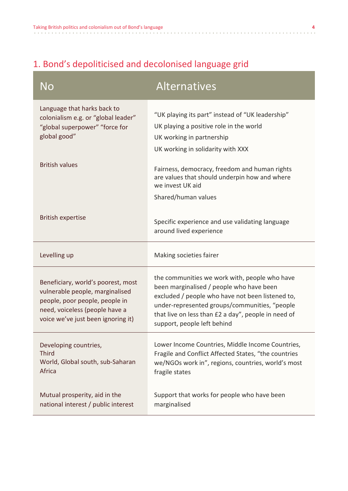Г

# 1. Bond's depoliticised and decolonised language grid

| No                                                                                                                                                                              | <b>Alternatives</b>                                                                                                                                                                                                                                                                  |
|---------------------------------------------------------------------------------------------------------------------------------------------------------------------------------|--------------------------------------------------------------------------------------------------------------------------------------------------------------------------------------------------------------------------------------------------------------------------------------|
| Language that harks back to<br>colonialism e.g. or "global leader"<br>"global superpower" "force for<br>global good"                                                            | "UK playing its part" instead of "UK leadership"<br>UK playing a positive role in the world<br>UK working in partnership<br>UK working in solidarity with XXX                                                                                                                        |
| <b>British values</b>                                                                                                                                                           | Fairness, democracy, freedom and human rights<br>are values that should underpin how and where<br>we invest UK aid<br>Shared/human values                                                                                                                                            |
| <b>British expertise</b>                                                                                                                                                        | Specific experience and use validating language<br>around lived experience                                                                                                                                                                                                           |
| Levelling up                                                                                                                                                                    | Making societies fairer                                                                                                                                                                                                                                                              |
| Beneficiary, world's poorest, most<br>vulnerable people, marginalised<br>people, poor people, people in<br>need, voiceless (people have a<br>voice we've just been ignoring it) | the communities we work with, people who have<br>been marginalised / people who have been<br>excluded / people who have not been listened to,<br>under-represented groups/communities, "people<br>that live on less than £2 a day", people in need of<br>support, people left behind |
| Developing countries,<br><b>Third</b><br>World, Global south, sub-Saharan<br>Africa                                                                                             | Lower Income Countries, Middle Income Countries,<br>Fragile and Conflict Affected States, "the countries<br>we/NGOs work in", regions, countries, world's most<br>fragile states                                                                                                     |
| Mutual prosperity, aid in the<br>national interest / public interest                                                                                                            | Support that works for people who have been<br>marginalised                                                                                                                                                                                                                          |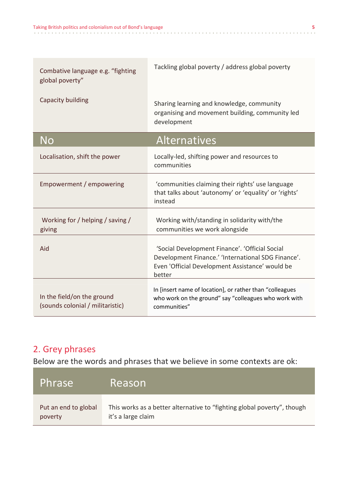| Combative language e.g. "fighting<br>global poverty"           | Tackling global poverty / address global poverty                                                                                                                  |
|----------------------------------------------------------------|-------------------------------------------------------------------------------------------------------------------------------------------------------------------|
| Capacity building                                              | Sharing learning and knowledge, community<br>organising and movement building, community led<br>development                                                       |
| No                                                             | <b>Alternatives</b>                                                                                                                                               |
| Localisation, shift the power                                  | Locally-led, shifting power and resources to<br>communities                                                                                                       |
| Empowerment / empowering                                       | 'communities claiming their rights' use language<br>that talks about 'autonomy' or 'equality' or 'rights'<br>instead                                              |
| Working for / helping / saving /<br>giving                     | Working with/standing in solidarity with/the<br>communities we work alongside                                                                                     |
| Aid                                                            | 'Social Development Finance'. 'Official Social<br>Development Finance.' 'International SDG Finance'.<br>Even 'Official Development Assistance' would be<br>better |
| In the field/on the ground<br>(sounds colonial / militaristic) | In [insert name of location], or rather than "colleagues<br>who work on the ground" say "colleagues who work with<br>communities"                                 |

## 2. Grey phrases

Below are the words and phrases that we believe in some contexts are ok:

| Phrase               | Reason                                                                  |
|----------------------|-------------------------------------------------------------------------|
| Put an end to global | This works as a better alternative to "fighting global poverty", though |
| poverty              | it's a large claim                                                      |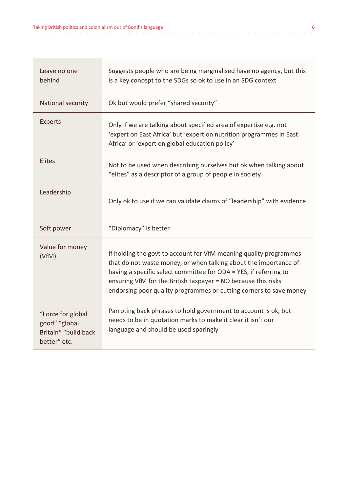| Leave no one<br>behind                                                     | Suggests people who are being marginalised have no agency, but this<br>is a key concept to the SDGs so ok to use in an SDG context                                                                                                                                                                                                                |
|----------------------------------------------------------------------------|---------------------------------------------------------------------------------------------------------------------------------------------------------------------------------------------------------------------------------------------------------------------------------------------------------------------------------------------------|
| National security                                                          | Ok but would prefer "shared security"                                                                                                                                                                                                                                                                                                             |
| <b>Experts</b>                                                             | Only if we are talking about specified area of expertise e.g. not<br>'expert on East Africa' but 'expert on nutrition programmes in East<br>Africa' or 'expert on global education policy'                                                                                                                                                        |
| <b>Elites</b>                                                              | Not to be used when describing ourselves but ok when talking about<br>"elites" as a descriptor of a group of people in society                                                                                                                                                                                                                    |
| Leadership                                                                 | Only ok to use if we can validate claims of "leadership" with evidence                                                                                                                                                                                                                                                                            |
| Soft power                                                                 | "Diplomacy" is better                                                                                                                                                                                                                                                                                                                             |
| Value for money<br>(VfM)                                                   | If holding the govt to account for VfM meaning quality programmes<br>that do not waste money, or when talking about the importance of<br>having a specific select committee for ODA = YES, if referring to<br>ensuring VfM for the British taxpayer = NO because this risks<br>endorsing poor quality programmes or cutting corners to save money |
| "Force for global<br>good" "global<br>Britain" "build back<br>better" etc. | Parroting back phrases to hold government to account is ok, but<br>needs to be in quotation marks to make it clear it isn't our<br>language and should be used sparingly                                                                                                                                                                          |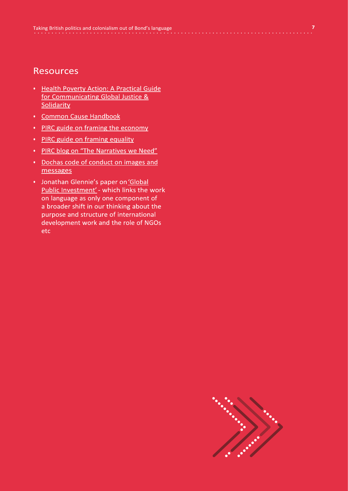#### **Resources**

- Health Poverty Action: A Practical Guide for Communicating Global Justice & Solidarity
- Common Cause Handbook
- PIRC guide on framing the economy
- PIRC guide on framing equality
- PIRC blog on "The Narratives we Need"
- Dochas code of conduct on images and messages
- Jonathan Glennie's paper on 'Global Public Investment' - which links the work on language as only one component of a broader shift in our thinking about the purpose and structure of international development work and the role of NGOs etc